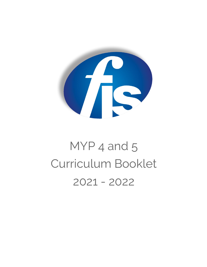

# MYP<sub>4</sub> and 5 Curriculum Booklet 2021 - 2022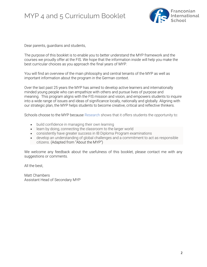

Dear parents, guardians and students,

The purpose of this booklet is to enable you to better understand the MYP framework and the courses we proudly offer at the FIS. We hope that the information inside will help you make the best curricular choices as you approach the final years of MYP.

You will find an overview of the main philosophy and central tenants of the MYP as well as important information about the program in the German context.

Over the last past 25 years the MYP has aimed to develop active learners and internationally minded young people who can empathize with others and pursue lives of purpose and meaning. This program aligns with the FIS mission and vision, and empowers students to inquire into a wide range of issues and ideas of significance locally, nationally and globally. Aligning with our strategic plan, the MYP helps students to become creative, critical and reflective thinkers.

Schools choose to the MYP because [Research](https://www.ibo.org/research/outcomes-research/myp-studies/) shows that it offers students the opportunity to:

- build confidence in managing their own learning
- learn by doing, connecting the classroom to the larger world
- consistently have greater success in IB Diploma Program examinations
- develop an understanding of global challenges and a commitment to act as responsible citizens. (Adapted from "About the MYP")

We welcome any feedback about the usefulness of this booklet, please contact me with any suggestions or comments.

All the best,

Matt Chambers Assistant Head of Secondary MYP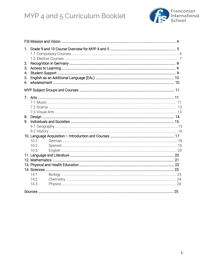

| 1. |      |  |  |  |
|----|------|--|--|--|
| 2. |      |  |  |  |
| З. |      |  |  |  |
| 4. |      |  |  |  |
| 5. |      |  |  |  |
| 6. |      |  |  |  |
|    |      |  |  |  |
|    |      |  |  |  |
|    |      |  |  |  |
|    |      |  |  |  |
|    |      |  |  |  |
| 8. |      |  |  |  |
| 9. |      |  |  |  |
|    |      |  |  |  |
|    |      |  |  |  |
|    |      |  |  |  |
|    | 10.1 |  |  |  |
|    | 10.2 |  |  |  |
|    | 10.3 |  |  |  |
|    |      |  |  |  |
|    |      |  |  |  |
|    |      |  |  |  |
|    |      |  |  |  |
|    | 14.1 |  |  |  |
|    | 14.2 |  |  |  |
|    | 14.3 |  |  |  |
|    |      |  |  |  |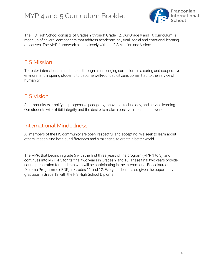

The FIS High School consists of Grades 9 through Grade 12. Our Grade 9 and 10 curriculum is made up of several components that address academic, physical, social and emotional learning objectives. The MYP framework aligns closely with the FIS Mission and Vision:

### FIS Mission

To foster international-mindedness through a challenging curriculum in a caring and cooperative environment, inspiring students to become well-rounded citizens committed to the service of humanity.

### FIS Vision

A community exemplifying progressive pedagogy, innovative technology, and service learning. Our students will exhibit integrity and the desire to make a positive impact in the world.

### International Mindedness

All members of the FIS community are open, respectful and accepting. We seek to learn about others, recognizing both our differences and similarities, to create a better world.

The MYP, that begins in grade 6 with the first three years of the program (MYP 1 to 3), and continues into MYP 4-5 for its final two years in Grades 9 and 10. These final two years provide sound preparation for students who will be participating in the International Baccalaureate Diploma Programme (IBDP) in Grades 11 and 12. Every student is also given the opportunity to graduate in Grade 12 with the FIS High School Diploma.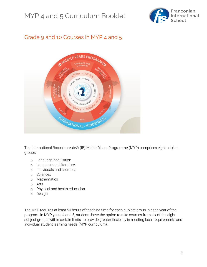

### Grade 9 and 10 Courses in MYP 4 and 5



The International Baccalaureate® (IB) Middle Years Programme (MYP) comprises eight subject groups:

- o [Language acquisition](https://www.ibo.org/programmes/middle-years-programme/curriculum/language-acquisition/)
- o [Language and literature](https://www.ibo.org/programmes/middle-years-programme/curriculum/language-and-literature/)
- o [Individuals and societies](https://www.ibo.org/programmes/middle-years-programme/curriculum/individuals-and-societies/)
- o [Sciences](https://www.ibo.org/programmes/middle-years-programme/curriculum/science/)
- o [Mathematics](https://www.ibo.org/programmes/middle-years-programme/curriculum/mathematics/)
- o [Arts](https://www.ibo.org/programmes/middle-years-programme/curriculum/arts/)
- o [Physical and health education](https://www.ibo.org/programmes/middle-years-programme/curriculum/physical-and-health-education/)
- o [Design](https://www.ibo.org/programmes/middle-years-programme/curriculum/design/)

The MYP requires at least 50 hours of teaching time for each subject group in each year of the program. In MYP years 4 and 5, students have the option to take courses from six of the eight subject groups within certain limits, to provide greater flexibility in meeting local requirements and individual student learning needs (MYP curriculum).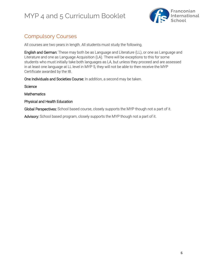

# Compulsory Courses

All courses are two years in length. All students must study the following.

English and German: These may both be as Language and Literature (LL), or one as Language and Literature and one as Language Acquisition (LA). There will be exceptions to this for some students who must initially take both languages as LA, but unless they proceed and are assessed in at least one language at LL level in MYP 5, they will not be able to then receive the MYP Certificate awarded by the IB.

One Individuals and Societies Course: In addition, a second may be taken.

**Science** 

**Mathematics** 

Physical and Health Education

Global Perspectives: School based course, closely supports the MYP though not a part of it.

Advisory: School based program, closely supports the MYP though not a part of it.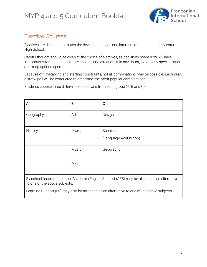

# Elective Courses

Electives are designed to match the developing needs and interests of students as they enter High School.

Careful thought should be given to the choice of electives, as decisions made now will have implications for a student's future choices and direction. If in any doubt, avoid early specialization and keep options open.

Because of timetabling and staffing constraints, not all combinations may be possible. Each year, a straw poll will be conducted to determine the most popular combinations.

Students choose three different courses, one from each group (A, B and C):

| A         | B            | $\mathbf C$                       |
|-----------|--------------|-----------------------------------|
| Geography | Art          | Design                            |
| History   | Drama        | Spanish<br>(Language Acquisition) |
|           | <b>Music</b> | Geography                         |
|           | Design       |                                   |

By school recommendation, Academic English Support (AES) may be offered as an alternative to one of the above subjects.

Learning Support (LS) may also be arranged as an alternative to one of the above subjects.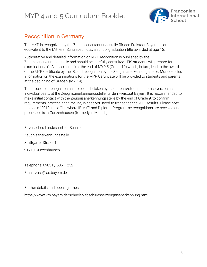

### Recognition in Germany

The MYP is recognized by the Zeugnisanerkennungsstelle für den Freistaat Bayern as an equivalent to the Mittlerer Schulabschluss, a school graduation title awarded at age 16.

Authoritative and detailed information on MYP recognition is published by the Zeugnisanerkennungsstelle and should be carefully consulted. FIS students will prepare for examinations ("eAssessments") at the end of MYP 5 (Grade 10) which, in turn, lead to the award of the MYP Certificate by the IB, and recognition by the Zeugnisanerkennungsstelle. More detailed information on the examinations for the MYP Certificate will be provided to students and parents at the beginning of Grade 9 (MYP 4).

The process of recognition has to be undertaken by the parents/students themselves, on an individual basis, at the Zeugnisanerkennungsstelle für den Freistaat Bayern. It is recommended to make initial contact with the Zeugnisanerkennungsstelle by the end of Grade 9, to confirm requirements, process and timeline, in case you need to transcribe the MYP results. Please note that, as of 2019, the office where IB MYP and Diploma Programme recognitions are received and processed is in Gunzenhausen (formerly in Munich).

Bayerisches Landesamt für Schule

Zeugnisanerkennungsstelle

Stuttgarter Straße 1

91710 Gunzenhausen

Telephone: 09831 / 686 – 252

Email: zast@las.bayern.de

Further details and opening times at:

<https://www.km.bayern.de/schueler/abschluesse/zeugnisanerkennung.html>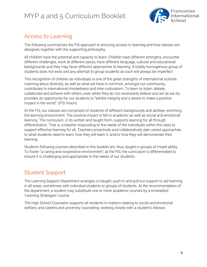

### Access to Learning

The following summarizes the FIS approach to ensuring access to learning and how classes are designed, together with the supporting philosophy.

All children have the potential and capacity to learn. Children have different strengths, encounter different challenges, work at different paces, have different language, cultural and educational backgrounds and they may favor different approaches to learning. A totally homogenous group of students does not exist and any attempt to group students as such will always be imperfect.

This recognition of children as individuals is one of the great strengths of international schools. Learning about diversity, as well as what we have in common, amongst our community, contributes to international mindedness and inter-culturalism. To learn to listen, debate, collaborate and achieve with others, even when they do not necessarily believe and act as we do, provides an opportunity for our students to "exhibit integrity and a desire to make a positive impact in the world". (FIS Vision)

At the FIS, our classes are comprised of students of different backgrounds and abilities, enriching the learning environment. The positive impact is felt in academic as well as social and emotional learning. The curriculum, in its written and taught form, supports learning for all through differentiation. That is, a teacher responding to the needs of the individuals within the class to support effective learning for all. Teachers proactively and collaboratively plan varied approaches to what students need to learn, how they will learn it, and/or how they will demonstrate their learning.

Students following courses described in this booklet are, thus, taught in groups of mixed ability. To foster "a caring and cooperative environment", at the FIS, the curriculum is differentiated to ensure it is challenging and appropriate to the needs of our students.

### Student Support

The Learning Support Department arranges co-taught, push-in and pull-out support to aid learning in all areas, sometimes with individual students or groups of students. At the recommendation of the department, a student may substitute one or more academic courses by a timetabled 'Learning Strategies' course.

The High School Counselor supports all students in matters relating to social and emotional welfare, and careers and university counseling, working closely with a student's Advisor.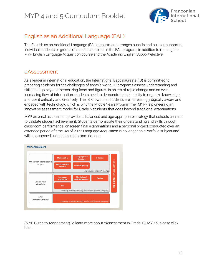

### English as an Additional Language (EAL)

The English as an Additional Language (EAL) department arranges push-in and pull-out support to individual students or groups of students enrolled in the EAL program, in addition to running the MYP English Language Acquisition course and the Academic English Support elective.

### eAssessment

As a leader in international education, the International Baccalaureate (IB) is committed to preparing students for the challenges of today's world. IB programs assess understanding and skills that go beyond memorizing facts and figures. In an era of rapid change and an everincreasing flow of information, students need to demonstrate their ability to organize knowledge and use it critically and creatively. The IB knows that students are increasingly digitally aware and engaged with technology, which is why the Middle Years Programme (MYP) is pioneering an innovative assessment model for Grade 5 students that goes beyond traditional examinations.

MYP external assessment provides a balanced and age-appropriate strategy that schools can use to validate student achievement. Students demonstrate their understanding and skills through classroom performance, onscreen final examinations and a personal project conducted over an extended period of time. As of 2022 Language Acquisition is no longer an ePortfolio subject and will be assessed using on screen examinations.



(MYP Guide to Assessment)To learn more about eAssessment in Grade 10, MYP 5, please click [here.](https://www.ibo.org/globalassets/digital-tookit/brochures/1503-myp-eassessment-factsheet.pdf)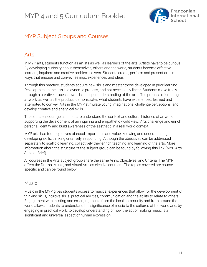

### MYP Subject Groups and Courses

### Arts

In MYP arts, students function as artists as well as learners of the arts. Artists have to be curious. By developing curiosity about themselves, others and the world, students become effective learners, inquirers and creative problem-solvers. Students create, perform and present arts in ways that engage and convey feelings, experiences and ideas.

Through this practice, students acquire new skills and master those developed in prior learning. Development in the arts is a dynamic process, and not necessarily linear. Students move freely through a creative process towards a deeper understanding of the arts. The process of creating artwork, as well as the product, demonstrates what students have experienced, learned and attempted to convey. Arts in the MYP stimulate young imaginations, challenge perceptions, and develop creative and analytical skills.

The course encourages students to understand the context and cultural histories of artworks, supporting the development of an inquiring and empathetic world view. Arts challenge and enrich personal identity and build awareness of the aesthetic in a real-world context.

MYP arts has four objectives of equal importance and value: knowing and understanding; developing skills; thinking creatively; responding. Although the objectives can be addressed separately to scaffold learning, collectively they enrich teaching and learning of the arts. More information about the structure of the subject group can be found by following this [link](https://www.ibo.org/globalassets/digital-tookit/brochures/myp-brief_language-acquisition_2015.pdf) (MYP Arts Subject Brief).

All courses in the Arts subject group share the same Aims, Objectives, and Criteria. The MYP offers the Drama, Music, and Visual Arts as elective courses. The topics covered are course specific and can be found below.

#### Music

Music in the MYP gives students access to musical experiences that allow for the development of thinking skills, intuitive skills, practical abilities, communication and the ability to relate to others. Engagement with existing and emerging music from the local community and from around the world allows students to understand the significance of music to the cultures of the world and, by engaging in practical work, to develop understanding of how the act of making music is a significant and universal aspect of human expression.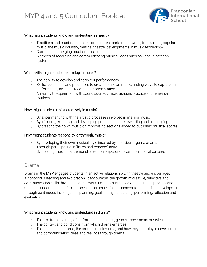

#### What might students know and understand in music?

- o Traditions and musical heritage from different parts of the world, for example, popular music, the music industry, musical theatre, developments in music technology
- o Current and emerging musical practices
- o Methods of recording and communicating musical ideas such as various notation systems

#### What skills might students develop in music?

- o Their ability to develop and carry out performances
- o Skills, techniques and processes to create their own music, finding ways to capture it in performance, notation, recording or presentation
- o An ability to experiment with sound sources, improvisation, practice and rehearsal routines

#### How might students think creatively in music?

- o By experimenting with the artistic processes involved in making music
- o By initiating, exploring and developing projects that are rewarding and challenging
- o By creating their own music or improvising sections added to published musical scores

#### How might students respond to, or through, music?

- o By developing their own musical style inspired by a particular genre or artist
- o Through participating in "listen and respond" activities
- o By creating music that demonstrates their exposure to various musical cultures

#### Drama

Drama in the MYP engages students in an active relationship with theatre and encourages autonomous learning and exploration. It encourages the growth of creative, reflective and communication skills through practical work. Emphasis is placed on the artistic process and the students' understanding of this process as an essential component to their artistic development through continuous investigation, planning, goal setting, rehearsing, performing, reflection and evaluation.

#### What might students know and understand in drama?

- o Theatre from a variety of performance practices, genres, movements or styles
- o The context and conditions from which drama emerges
- o The language of drama, the production elements, and how they interplay in developing and communicating ideas and feelings through drama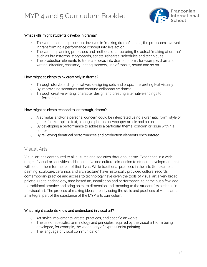

#### What skills might students develop in drama?

- o The various artistic processes involved in "making drama", that is, the processes involved in transforming a performance concept into live action
- o The various planning processes and methods of structuring the actual "making of drama" such as brainstorms, storyboards, scripts, rehearsal schedules and techniques
- o The production elements to translate ideas into dramatic form, for example, dramatic writing, direction, costume, lighting, scenery, use of masks, sound and so on

#### How might students think creatively in drama?

- o Through storyboarding narratives, designing sets and props, interpreting text visually
- o By improvising scenarios and creating collaborative drama
- o Through creative writing, character design and creating alternative endings to performances

#### How might students respond to, or through, drama?

- o A stimulus and/or a personal concern could be interpreted using a dramatic form, style or genre, for example, a text, a song, a photo, a newspaper article and so on
- o By developing a performance to address a particular theme, concern or issue within a context
- o By reviewing theatrical performances and production elements encountered

#### Visual Arts

Visual art has contributed to all cultures and societies throughout time. Experience in a wide range of visual art activities adds a creative and cultural dimension to student development that will benefit them for the rest of their lives. While traditional practices in the arts (for example, painting, sculpture, ceramics and architecture) have historically provided cultural records, contemporary practice and access to technology have given the tools of visual art a very broad palette. Digital technology, time-based art, installation and performance, to name but a few, add to traditional practice and bring an extra dimension and meaning to the students' experience in the visual art. The process of making ideas a reality using the skills and practices of visual art is an integral part of the substance of the MYP arts curriculum.

#### What might students know and understand in visual art?

- o Art styles, movements, artists' practices, and specific artworks
- o The use of specialist terminology and principles required by the visual art form being developed, for example, the vocabulary of expressionist painting
- o The language of visual communication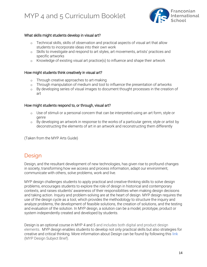

#### What skills might students develop in visual art?

- o Technical skills, skills of observation and practical aspects of visual art that allow students to incorporate ideas into their own work
- o Skills to investigate and respond to art styles, art movements, artists' practices and specific artworks
- o Knowledge of existing visual art practice(s) to influence and shape their artwork

#### How might students think creatively in visual art?

- o Through creative approaches to art-making
- o Through manipulation of medium and tool to influence the presentation of artworks
- o By developing series of visual images to document thought processes in the creation of art

#### How might students respond to, or through, visual art?

- o Use of stimuli or a personal concern that can be interpreted using an art form, style or genre
- o By developing an artwork in response to the works of a particular genre, style or artist by deconstructing the elements of art in an artwork and reconstructing them differently

(Taken from the MYP Arts Guide)

### **Design**

Design, and the resultant development of new technologies, has given rise to profound changes in society, transforming how we access and process information, adapt our environment, communicate with others, solve problems, work and live.

MYP design challenges students to apply practical and creative-thinking skills to solve design problems, encourages students to explore the role of design in historical and contemporary contexts, and raises students' awareness of their responsibilities when making design decisions and taking action. Inquiry and problem-solving are at the heart of design. MYP design requires the use of the design cycle as a tool, which provides the methodology to structure the inquiry and analyze problems, the development of feasible solutions, the creation of solutions, and the testing and evaluation of the solution. In MYP design, a solution can be a model, prototype, product or system independently created and developed by students.

Design is an optional course in MYP 4 and 5 and includes both digital and product design elements. MYP design enables students to develop not only practical skills but also strategies for creative and critical thinking. More information about Design can be found by following this [link](https://www.ibo.org/globalassets/digital-tookit/brochures/myp-brief_design_2015.pdf) (MYP Design Subject Brief).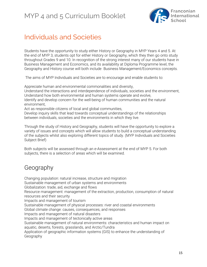

# Individuals and Societies

Students have the opportunity to study either History or Geography in MYP Years 4 and 5. At the end of MYP 3, students opt for either History or Geography, which they then go onto study throughout Grades 9 and 10. In recognition of the strong interest many of our students have in Business Management and Economics, and its availability at Diploma Programme level, the Geography and History course will both include Business Management/Economics concepts.

The aims of MYP Individuals and Societies are to encourage and enable students to:

Appreciate human and environmental commonalities and diversity,

Understand the interactions and interdependence of individuals, societies and the environment, Understand how both environmental and human systems operate and evolve,

Identify and develop concern for the well-being of human communities and the natural environment,

Act as responsible citizens of local and global communities,

Develop inquiry skills that lead towards conceptual understandings of the relationships between individuals, societies and the environments in which they live.

Through the study of History and Geography, students will have the opportunity to explore a variety of issues and concepts which will allow students to build a conceptual understanding of the subjects whilst also exploring different topics of study. (MYP Individuals and Societies Subject Brief)

Both subjects will be assessed through an e-Assessment at the end of MYP 5. For both subjects, there is a selection of areas which will be examined.

# Geography

Changing population: natural increase, structure and migration Sustainable management of urban systems and environments Globalization: trade, aid, exchange and flows Resource management: management of the extraction, production, consumption of natural resources and their security Impacts and management of tourism Sustainable management of physical processes: river and coastal environments Global climate change: causes, consequences, and responses Impacts and management of natural disasters Impacts and management of tectonically active areas Sustainable management of natural environments: characteristics and human impact on aquatic, deserts, forests, grasslands, and Arctic/Tundra Application of geographic information systems (GIS) to enhance the understanding of Geography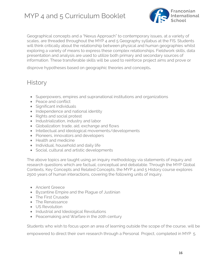

Geographical concepts and a "Nexus Approach" to contemporary issues, at a variety of scales, are threaded throughout the MYP 4 and 5 Geography syllabus at the FIS. Students will think critically about the relationship between physical and human geographies whilst exploring a variety of means to express these complex relationships. Fieldwork skills, data presentation and analysis are used to utilize both primary and secondary sources of information. These transferable skills will be used to reinforce project aims and prove or

disprove hypotheses based on geographic theories and concepts.

# **History**

- Superpowers, empires and supranational institutions and organizations
- Peace and conflict
- Significant individuals
- Independence and national identity
- Rights and social protest
- Industrialization, industry and labor
- Globalization: trade, aid, exchange and flows
- Intellectual and ideological movements/developments
- Pioneers, innovators and developers
- Health and medicine
- Individual, household and daily life
- Social, cultural and artistic developments

The above topics are taught using an inquiry methodology via statements of inquiry and research questions which are factual, conceptual and debatable. Through the MYP Global Contexts, Key Concepts and Related Concepts, the MYP 4 and 5 History course explores 2500 years of human interactions, covering the following units of inquiry.

- Ancient Greece
- Byzantine Empire and the Plague of Justinian
- The First Crusade
- The Renaissance
- US Revolution
- Industrial and Ideological Revolutions
- Peacemaking and Warfare in the 20th century

Students who wish to focus upon an area of learning outside the scope of the course, will be

empowered to direct their own research through a Personal Project, completed in MYP 5.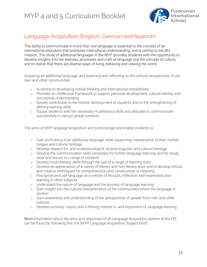

# Language Acquisition (English, German and Spanish)

The ability to communicate in more than one language is essential to the concept of an international education that promotes intercultural understanding, and is central to the IB's mission. The study of additional languages in the MYP provides students with the opportunity to develop insights into the features, processes and craft of language and the concept of culture, and to realize that there are diverse ways of living, behaving and viewing the world.

Acquiring an additional language, and exploring and reflecting on the cultural perspectives of our own and other communities:

- o Is central to developing critical thinking and international-mindedness
- o Provides an intellectual framework to support personal development, cultural identity and conceptual understanding
- o Greatly contributes to the holistic development of students and to the strengthening of lifelong learning skills
- o Equips students with the necessary multiliteracy skills and attitudes to communicate successfully in various global contexts

The aims of MYP language acquisition are to encourage and enable students to:

- o Gain proficiency in an additional language while supporting maintenance of their mother tongue and cultural heritage
- o Develop respect for, and understanding of, diverse linguistic and cultural heritage
- o Develop the communication skills necessary for further language learning, and for study, work and leisure in a range of contexts
- o Develop multi-literacy skills through the use of a range of learning tools
- o Develop an appreciation of a variety of literary and non-literary texts and to develop critical and creative techniques for comprehension and construction of meaning
- o Recognize and use language as a vehicle of thought, reflection, self-expression and learning in other subjects
- o Understand the nature of language and the process of language learning
- o Gain insight into the cultural characteristics of the communities where the language is spoken
- o Gain awareness and understanding of the perspectives of people from own and other cultures
- o Develop curiosity, inquiry and a lifelong interest in, and enjoyment of, language learning

More information about the aims and objectives of all Language Acquisition options at the FIS can be found by following this [link](https://www.ibo.org/globalassets/digital-tookit/brochures/myp-brief_language-acquisition_2015.pdf) (MYP Language Acquisition Subject Brief).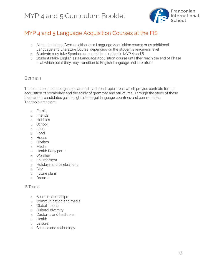

### MYP 4 and 5 Language Acquisition Courses at the FIS

- o All students take German either as a Language Acquisition course or as additional Language and Literature Course, depending on the student's readiness level
- o Students may take Spanish as an additional option in MYP 4 and 5
- o Students take English as a Language Acquisition course until they reach the end of Phase 4, at which point they may transition to English Language and Literature

#### German

The course content is organized around five broad topic areas which provide contexts for the acquisition of vocabulary and the study of grammar and structures. Through the study of these topic areas, candidates gain insight into target language countries and communities. The topic areas are:

- o Family
- o Friends
- o Hobbies
- o School
- o Jobs
- o Food
- o House
- o Clothes
- o Media
- o Health Body parts
- o Weather
- o Environment
- o Holidays and celebrations
- o City
- o Future plans
- o Dreams

#### IB Topics:

- o Social relationships
- o Communication and media
- o Global issues
- o Cultural diversity
- o Customs and traditions
- o Health
- o Leisure
- o Science and technology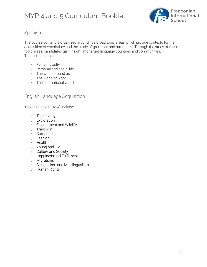

#### Spanish

The course content is organized around five broad topic areas which provide contexts for the acquisition of vocabulary and the study of grammar and structures. Through the study of these topic areas, candidates gain insight into target language countries and communities. The topic areas are:

- o Everyday activities
- o Personal and social life
- o The world around us
- o The world of work
- o The international world

#### English Language Acquisition

Topics (phases 2 to 4) include:

- o Technology
- o Exploration
- o Environment and Wildlife
- o Transport
- o Competition
- o Fashion
- o Health
- o Young and Old
- o Culture and Society
- o Happiness and Fulfilment
- o Migrations
- o Bilingualism and Multilingualism
- o Human Rights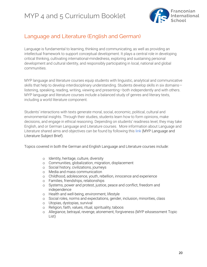

# Language and Literature (English and German)

Language is fundamental to learning, thinking and communicating, as well as providing an intellectual framework to support conceptual development. It plays a central role in developing critical thinking, cultivating international-mindedness, exploring and sustaining personal development and cultural identity, and responsibly participating in local, national and global communities.

MYP language and literature courses equip students with linguistic, analytical and communicative skills that help to develop interdisciplinary understanding. Students develop skills in six domainslistening, speaking, reading, writing, viewing and presenting—both independently and with others. MYP language and literature courses include a balanced study of genres and literary texts, including a world literature component.

Students' interactions with texts generate moral, social, economic, political, cultural and environmental insights. Through their studies, students learn how to form opinions, make decisions, and engage in ethical reasoning. Depending on students' readiness level, they may take English, and or German Language and Literature courses. More information about Language and Literature shared aims and objectives can be found by following this [link](https://www.ibo.org/globalassets/digital-tookit/brochures/myp-brief_language-literature_2015.pdf) (MYP Language and Literature Subject Brief).

Topics covered in both the German and English Language and Literature courses include:

- o Identity, heritage, culture, diversity
- o Communities, globalization, migration, displacement
- o Social history, civilizations, journeys
- o Media and mass communication
- o Childhood, adolescence, youth, rebellion, innocence and experience
- o Families, friendships, relationships
- o Systems, power and protest, justice, peace and conflict, freedom and independence
- o Health and well-being, environment, lifestyle
- o Social roles, norms and expectations, gender, inclusion, minorities, class
- o Utopias, dystopias, survival
- o Religion, faith, values, ritual, spirituality, taboos
- o Allegiance, betrayal, revenge, atonement, forgiveness (MYP eAssessment Topic List)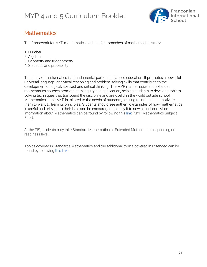

### **Mathematics**

The framework for MYP mathematics outlines four branches of mathematical study:

- 1. Number
- 2. Algebra
- 3. Geometry and trigonometry
- 4. Statistics and probability

The study of mathematics is a fundamental part of a balanced education. It promotes a powerful universal language, analytical reasoning and problem-solving skills that contribute to the development of logical, abstract and critical thinking. The MYP mathematics and extended mathematics courses promote both inquiry and application, helping students to develop problemsolving techniques that transcend the discipline and are useful in the world outside school. Mathematics in the MYP is tailored to the needs of students, seeking to intrigue and motivate them to want to learn its principles. Students should see authentic examples of how mathematics is useful and relevant to their lives and be encouraged to apply it to new situations. More information about Mathematics can be found by following this [link](https://www.ibo.org/globalassets/digital-tookit/brochures/myp-brief_mathematics_2015.pdf) (MYP Mathematics Subject Brief).

At the FIS, students may take Standard Mathematics or Extended Mathematics depending on readiness level.

Topics covered in Standards Mathematics and the additional topics covered in Extended can be found by following [this link.](https://drive.google.com/open?id=1zGnOPor8IGViX7v0p1ZuXPf8TxkSWGk2)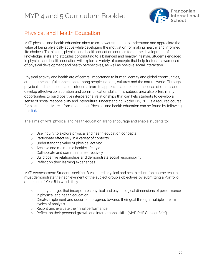

### Physical and Health Education

MYP physical and health education aims to empower students to understand and appreciate the value of being physically active while developing the motivation for making healthy and informed life choices. To this end, physical and health education courses foster the development of knowledge, skills and attitudes contributing to a balanced and healthy lifestyle. Students engaged in physical and health education will explore a variety of concepts that help foster an awareness of physical development and health perspectives, as well as positive social interaction.

Physical activity and health are of central importance to human identity and global communities, creating meaningful connections among people, nations, cultures and the natural world. Through physical and health education, students learn to appreciate and respect the ideas of others, and develop effective collaboration and communication skills. This subject area also offers many opportunities to build positive interpersonal relationships that can help students to develop a sense of social responsibility and intercultural understanding. At the FIS, PHE is a required course for all students. More information about Physical and health education can be found by following this [link.](https://www.ibo.org/globalassets/digital-tookit/brochures/myp-brief_phys-health-ed_2015.pdf)

The aims of MYP physical and health education are to encourage and enable students to:

- o Use inquiry to explore physical and health education concepts
- o Participate effectively in a variety of contexts
- o Understand the value of physical activity
- o Achieve and maintain a healthy lifestyle
- o Collaborate and communicate effectively
- o Build positive relationships and demonstrate social responsibility
- o Reflect on their learning experiences

MYP eAssessment: Students seeking IB-validated physical and health education course results must demonstrate their achievement of the subject group's objectives by submitting a Portfolio at the end of Year 5 in which they:

- o Identify a target that incorporates physical and psychological dimensions of performance in physical and health education
- o Create, implement and document progress towards their goal through multiple interim cycles of analysis
- o Record and evaluate their final performance
- o Reflect on their personal growth and interpersonal skills (MYP PHE Subject Brief)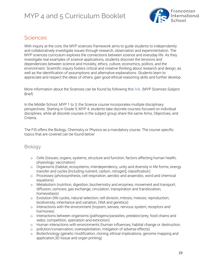

### **Sciences**

With inquiry at the core, the MYP sciences framework aims to guide students to independently and collaboratively investigate issues through research, observation and experimentation. The MYP sciences curriculum explores the connections between science and everyday life. As they investigate real examples of science applications, students discover the tensions and dependencies between science and morality, ethics, culture, economics, politics, and the environment. Scientific inquiry fosters critical and creative thinking about research and design, as well as the identification of assumptions and alternative explanations. Students learn to appreciate and respect the ideas of others, gain good ethical-reasoning skills and further develop.

More information about the Sciences can be found by following this [link.](https://www.ibo.org/globalassets/digital-tookit/brochures/myp-brief_sciences_-2015.pdf) (MYP Sciences Subject Brief)

In the Middle School, MYP 1 to 3, the Science course incorporates multiple disciplinary perspectives. Starting in Grade 9, MYP 4, students take discrete courses focused on individual disciplines, while all discrete courses in the subject group share the same Aims, Objectives, and **Criteria** 

The FIS offers the Biology, Chemistry or Physics as a mandatory course. The course specific topics that are covered can be found below:

#### Biology

- o Cells (tissues, organs, systems, structure and function; factors affecting human health; physiology; vaccination)
- o Organisms (habitat, ecosystems, interdependency, unity and diversity in life forms; energy transfer and cycles [including nutrient, carbon, nitrogen]; classification)
- o Processes (photosynthesis, cell respiration, aerobic and anaerobic, word and chemical equations)
- o Metabolism (nutrition, digestion, biochemistry and enzymes; movement and transport, diffusion; osmosis; gas exchange; circulation, transpiration and translocation; homeostasis)
- o Evolution (life cycles, natural selection; cell division, mitosis, meiosis; reproduction; biodiversity; inheritance and variation, DNA and genetics)
- o Interactions with the environment (tropism, senses, nervous system, receptors and hormones)
- o Interactions between organisms (pathogens/parasites, predator/prey, food chains and webs; competition, speciation and extinction)
- o Human interactions with environments (human influences, habitat change or destruction,
- o pollution/conservation; overexploitation, mitigation of adverse effects)
- o Biotechnology (genetic modification, cloning; ethical implications, genome mapping and application,3D tissue and organ printing)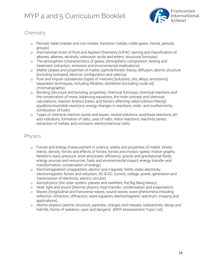

### **Chemistry**

- o Periodic table (metals and non-metals; transition metals, noble gases, trends, periods, groups)
- o International Union of Pure and Applied Chemistry (IUPAC naming and classification of alkanes, alkenes, alcohols, carboxylic acids and esters; structural formulas)
- o The atmosphere (characteristics of gases; atmospheric composition, testing and treatment; extraction, emission and environmental implications)
- o Matter (states and properties of matter; particle/kinetic theory, diffusion; atomic structure [including Isotopes]; electron configuration and valency)
- o Pure and impure substances (types of mixtures [solutions, oils, alloys, emulsions]; separation techniques, including filtration, distillation [including crude oil], chromatography)
- o Bonding (structure and bonding, properties, chemical formulas, chemical reactions and the conservation of mass; balancing equations, the mole concept and chemical calculations; reaction kinetics [rates, and factors affecting rates/collision theory]; equilibria/reversible reactions; energy changes in reactions, endo- and exothermicity; combustion of fuels)
- o Types of chemical reaction (acids and bases, neutral solutions, acid/base reactions, pH and indicators, formation of salts, uses of salts; redox reactions, reactivity series; extraction of metals, and corrosion, electrochemical cells)

#### Physics

- o Forces and energy (measurement in science; states and properties of matter, kinetic theory, density; forces and effects of forces; forces and motion, speed, motion graphs, Newton's laws; pressure; work and power, efficiency; gravity and gravitational fields; energy sources and resources, fuels and environmental impact; energy transfer and transformation, conservation of energy)
- o Electromagnetism (magnetism, electric and magnetic fields; static electricity; electromagnetic forces and induction, AC & DC; current, voltage, power, generation and transmission of electricity; electric circuits)
- o Astrophysics (the solar system, planets and satellites, the Big Bang theory)
- o Heat, light and sound (thermal physics; heat transfer, condensation and evaporation)
- o Waves (longitudinal and transverse waves, sound waves; wave phenomena including reflection, refraction, diffraction; wave equation; electromagnetic spectrum, imaging and applications)
- o Atomic physics (atomic structure, particles, charges and masses; radioactivity, decay and half-life, forms of radiation; uses and dangers) (MYP eAssessment Topic List)